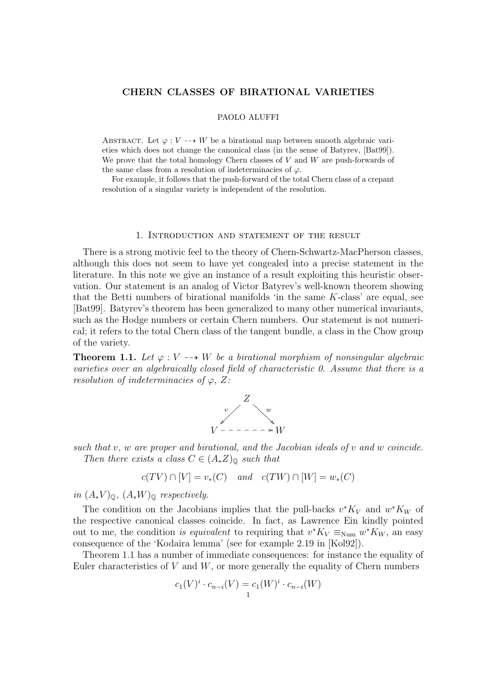## CHERN CLASSES OF BIRATIONAL VARIETIES

#### PAOLO ALUFFI

ABSTRACT. Let  $\varphi: V \dashrightarrow W$  be a birational map between smooth algebraic varieties which does not change the canonical class (in the sense of Batyrev, [Bat99]). We prove that the total homology Chern classes of  $V$  and  $W$  are push-forwards of the same class from a resolution of indeterminacies of  $\varphi$ .

For example, it follows that the push-forward of the total Chern class of a crepant resolution of a singular variety is independent of the resolution.

### 1. Introduction and statement of the result

There is a strong motivic feel to the theory of Chern-Schwartz-MacPherson classes, although this does not seem to have yet congealed into a precise statement in the literature. In this note we give an instance of a result exploiting this heuristic observation. Our statement is an analog of Victor Batyrev's well-known theorem showing that the Betti numbers of birational manifolds 'in the same  $K$ -class' are equal, see [Bat99]. Batyrev's theorem has been generalized to many other numerical invariants, such as the Hodge numbers or certain Chern numbers. Our statement is not numerical; it refers to the total Chern class of the tangent bundle, a class in the Chow group of the variety.

**Theorem 1.1.** Let  $\varphi: V \dashrightarrow W$  be a birational morphism of nonsingular algebraic varieties over an algebraically closed field of characteristic 0. Assume that there is a resolution of indeterminacies of  $\varphi$ , Z:



such that  $v, w$  are proper and birational, and the Jacobian ideals of  $v$  and  $w$  coincide. Then there exists a class  $C \in (A_*Z)_{\mathbb{Q}}$  such that

$$
c(TV) \cap [V] = v_*(C) \quad and \quad c(TW) \cap [W] = w_*(C)
$$

in  $(A_*V)_{\mathbb{Q}}, (A_*W)_{\mathbb{Q}}$  respectively.

The condition on the Jacobians implies that the pull-backs  $v^*K_V$  and  $w^*K_W$  of the respective canonical classes coincide. In fact, as Lawrence Ein kindly pointed out to me, the condition is equivalent to requiring that  $v^*K_V \equiv_{\text{Num}} w^*K_W$ , an easy consequence of the 'Kodaira lemma' (see for example 2.19 in [Kol92]).

Theorem 1.1 has a number of immediate consequences: for instance the equality of Euler characteristics of  $V$  and  $W$ , or more generally the equality of Chern numbers

$$
c_1(V)^i \cdot c_{n-i}(V) = c_1(W)^i \cdot c_{n-i}(W)
$$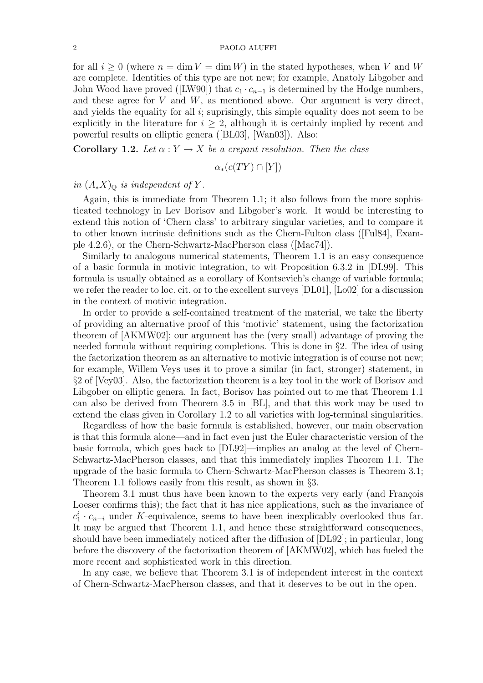for all  $i \geq 0$  (where  $n = \dim V = \dim W$ ) in the stated hypotheses, when V and W are complete. Identities of this type are not new; for example, Anatoly Libgober and John Wood have proved ([LW90]) that  $c_1 \cdot c_{n-1}$  is determined by the Hodge numbers, and these agree for  $V$  and  $W$ , as mentioned above. Our argument is very direct, and yields the equality for all  $i$ ; suprisingly, this simple equality does not seem to be explicitly in the literature for  $i \geq 2$ , although it is certainly implied by recent and powerful results on elliptic genera ([BL03], [Wan03]). Also:

**Corollary 1.2.** Let  $\alpha: Y \to X$  be a crepant resolution. Then the class

$$
\alpha_*(c(TY) \cap [Y])
$$

in  $(A_*X)_{\mathbb{Q}}$  is independent of Y.

Again, this is immediate from Theorem 1.1; it also follows from the more sophisticated technology in Lev Borisov and Libgober's work. It would be interesting to extend this notion of 'Chern class' to arbitrary singular varieties, and to compare it to other known intrinsic definitions such as the Chern-Fulton class ([Ful84], Example 4.2.6), or the Chern-Schwartz-MacPherson class ([Mac74]).

Similarly to analogous numerical statements, Theorem 1.1 is an easy consequence of a basic formula in motivic integration, to wit Proposition 6.3.2 in [DL99]. This formula is usually obtained as a corollary of Kontsevich's change of variable formula; we refer the reader to loc. cit. or to the excellent surveys [DL01], [Lo02] for a discussion in the context of motivic integration.

In order to provide a self-contained treatment of the material, we take the liberty of providing an alternative proof of this 'motivic' statement, using the factorization theorem of [AKMW02]; our argument has the (very small) advantage of proving the needed formula without requiring completions. This is done in §2. The idea of using the factorization theorem as an alternative to motivic integration is of course not new; for example, Willem Veys uses it to prove a similar (in fact, stronger) statement, in §2 of [Vey03]. Also, the factorization theorem is a key tool in the work of Borisov and Libgober on elliptic genera. In fact, Borisov has pointed out to me that Theorem 1.1 can also be derived from Theorem 3.5 in [BL], and that this work may be used to extend the class given in Corollary 1.2 to all varieties with log-terminal singularities.

Regardless of how the basic formula is established, however, our main observation is that this formula alone—and in fact even just the Euler characteristic version of the basic formula, which goes back to [DL92]—implies an analog at the level of Chern-Schwartz-MacPherson classes, and that this immediately implies Theorem 1.1. The upgrade of the basic formula to Chern-Schwartz-MacPherson classes is Theorem 3.1; Theorem 1.1 follows easily from this result, as shown in §3.

Theorem 3.1 must thus have been known to the experts very early (and Francois Loeser confirms this); the fact that it has nice applications, such as the invariance of  $c_1^i \cdot c_{n-i}$  under K-equivalence, seems to have been inexplicably overlooked thus far. It may be argued that Theorem 1.1, and hence these straightforward consequences, should have been immediately noticed after the diffusion of [DL92]; in particular, long before the discovery of the factorization theorem of [AKMW02], which has fueled the more recent and sophisticated work in this direction.

In any case, we believe that Theorem 3.1 is of independent interest in the context of Chern-Schwartz-MacPherson classes, and that it deserves to be out in the open.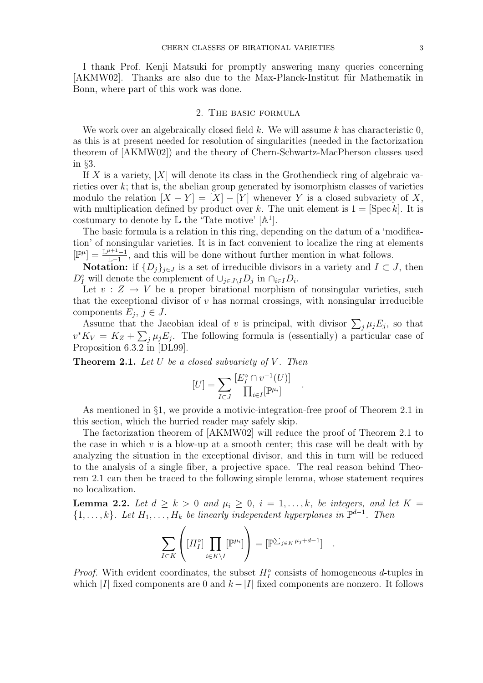I thank Prof. Kenji Matsuki for promptly answering many queries concerning [AKMW02]. Thanks are also due to the Max-Planck-Institut für Mathematik in Bonn, where part of this work was done.

## 2. The basic formula

We work over an algebraically closed field  $k$ . We will assume  $k$  has characteristic  $0$ , as this is at present needed for resolution of singularities (needed in the factorization theorem of [AKMW02]) and the theory of Chern-Schwartz-MacPherson classes used in §3.

If X is a variety,  $[X]$  will denote its class in the Grothendieck ring of algebraic varieties over k; that is, the abelian group generated by isomorphism classes of varieties modulo the relation  $[X - Y] = [X] - [Y]$  whenever Y is a closed subvariety of X, with multiplication defined by product over k. The unit element is  $1 = [\text{Spec } k]$ . It is costumary to denote by  $\mathbb L$  the 'Tate motive'  $[\mathbb A^1]$ .

The basic formula is a relation in this ring, depending on the datum of a 'modification' of nonsingular varieties. It is in fact convenient to localize the ring at elements  $[\mathbb{P}^{\mu}] = \frac{\mathbb{L}^{\mu+1}-1}{\mathbb{L}^{\mu+1}}$  $\frac{L+L-1}{L-1}$ , and this will be done without further mention in what follows.

Notation: if  $\{D_j\}_{j\in J}$  is a set of irreducible divisors in a variety and  $I\subset J$ , then  $D_I^{\circ}$  will denote the complement of  $\cup_{j\in J\setminus I}D_j$  in  $\cap_{i\in I}D_i$ .

Let  $v : Z \to V$  be a proper birational morphism of nonsingular varieties, such that the exceptional divisor of  $v$  has normal crossings, with nonsingular irreducible components  $E_j, j \in J$ .

Assume that the Jacobian ideal of v is principal, with divisor  $\sum_j \mu_j E_j$ , so that  $v^* K_V = K_Z + \sum_j \mu_j E_j$ . The following formula is (essentially) a particular case of Proposition 6.3.2 in [DL99].

**Theorem 2.1.** Let U be a closed subvariety of V. Then

$$
[U] = \sum_{I \subset J} \frac{[E_I^\circ \cap v^{-1}(U)]}{\prod_{i \in I} [\mathbb{P}^{\mu_i}]}.
$$

.

As mentioned in §1, we provide a motivic-integration-free proof of Theorem 2.1 in this section, which the hurried reader may safely skip.

The factorization theorem of [AKMW02] will reduce the proof of Theorem 2.1 to the case in which  $v$  is a blow-up at a smooth center; this case will be dealt with by analyzing the situation in the exceptional divisor, and this in turn will be reduced to the analysis of a single fiber, a projective space. The real reason behind Theorem 2.1 can then be traced to the following simple lemma, whose statement requires no localization.

**Lemma 2.2.** Let  $d \geq k > 0$  and  $\mu_i \geq 0$ ,  $i = 1, \ldots, k$ , be integers, and let  $K =$  $\{1,\ldots,k\}$ . Let  $H_1,\ldots,H_k$  be linearly independent hyperplanes in  $\mathbb{P}^{d-1}$ . Then

$$
\sum_{I \subset K} \left( [H_I^{\circ}] \prod_{i \in K \setminus I} [\mathbb{P}^{\mu_i}] \right) = [\mathbb{P}^{\sum_{j \in K} \mu_j + d - 1}] \quad .
$$

*Proof.* With evident coordinates, the subset  $H_I^{\circ}$  consists of homogeneous d-tuples in which |I| fixed components are 0 and  $k - |I|$  fixed components are nonzero. It follows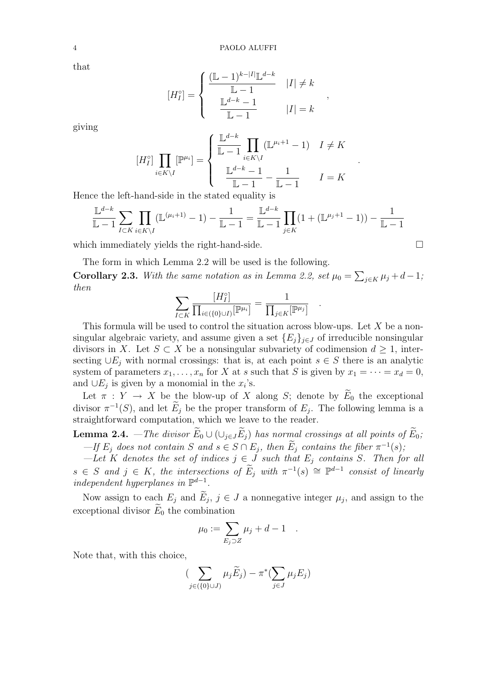that

$$
[H_I^{\circ}] = \begin{cases} \frac{(\mathbb{L} - 1)^{k - |I|} \mathbb{L}^{d - k}}{\mathbb{L} - 1} & |I| \neq k \\ \frac{\mathbb{L}^{d - k} - 1}{\mathbb{L} - 1} & |I| = k \end{cases}
$$

,

.

.

giving

$$
[H_I^\circ] \prod_{i \in K \backslash I} [\mathbb{P}^{\mu_i}] = \left\{ \begin{array}{ll} \frac{\mathbb{L}^{d-k}}{\mathbb{L} - 1} \prod_{i \in K \backslash I} (\mathbb{L}^{\mu_i + 1} - 1) & I \neq K \\ & \\ \frac{\mathbb{L}^{d-k} - 1}{\mathbb{L} - 1} - \frac{1}{\mathbb{L} - 1} & I = K \end{array} \right.
$$

Hence the left-hand-side in the stated equality is

$$
\frac{\mathbb{L}^{d-k}}{\mathbb{L} - 1} \sum_{I \subset K} \prod_{i \in K \setminus I} (\mathbb{L}^{(\mu_i + 1)} - 1) - \frac{1}{\mathbb{L} - 1} = \frac{\mathbb{L}^{d-k}}{\mathbb{L} - 1} \prod_{j \in K} (1 + (\mathbb{L}^{\mu_j + 1} - 1)) - \frac{1}{\mathbb{L} - 1}
$$

which immediately yields the right-hand-side.  $\Box$ 

The form in which Lemma 2.2 will be used is the following.

Corollary 2.3. With the same notation as in Lemma 2.2, set  $\mu_0 = \sum_{j \in K} \mu_j + d - 1$ ; then

$$
\sum_{I \subset K} \frac{[H_I^\circ]}{\prod_{i \in (\{0\} \cup I)} [\mathbb{P}^{\mu_i}]} = \frac{1}{\prod_{j \in K} [\mathbb{P}^{\mu_j}]}
$$

This formula will be used to control the situation across blow-ups. Let  $X$  be a nonsingular algebraic variety, and assume given a set  ${E_i}_{i \in J}$  of irreducible nonsingular divisors in X. Let  $S \subset X$  be a nonsingular subvariety of codimension  $d \geq 1$ , intersecting  $\cup E_i$  with normal crossings: that is, at each point  $s \in S$  there is an analytic system of parameters  $x_1, \ldots, x_n$  for X at s such that S is given by  $x_1 = \cdots = x_d = 0$ , and  $\cup E_j$  is given by a monomial in the  $x_i$ 's.

Let  $\pi : Y \to X$  be the blow-up of X along S; denote by  $\widetilde{E}_0$  the exceptional divisor  $\pi^{-1}(S)$ , and let  $\widetilde{E}_j$  be the proper transform of  $E_j$ . The following lemma is a straightforward computation, which we leave to the reader.

**Lemma 2.4.** —The divisor  $\widetilde{E}_0 \cup (\cup_{j \in J} \widetilde{E}_j)$  has normal crossings at all points of  $\widetilde{E}_0$ ;  $-If E_j$  does not contain S and  $s \in S \cap E_j$ , then  $E_j$  contains the fiber  $\pi^{-1}(s)$ ;

—Let K denotes the set of indices  $j \in J$  such that  $E_j$  contains S. Then for all  $s \in S$  and  $j \in K$ , the intersections of  $\widetilde{E}_j$  with  $\pi^{-1}(s) \cong \mathbb{P}^{d-1}$  consist of linearly independent hyperplanes in  $\mathbb{P}^{d-1}$ .

Now assign to each  $E_j$  and  $\widetilde{E}_j$ ,  $j \in J$  a nonnegative integer  $\mu_j$ , and assign to the exceptional divisor  $E_0$  the combination

$$
\mu_0 := \sum_{E_j \supset Z} \mu_j + d - 1 \quad .
$$

Note that, with this choice,

$$
\left(\sum_{j\in(\{0\}\cup J)}\mu_j\widetilde{E}_j\right)-\pi^*(\sum_{j\in J}\mu_jE_j)
$$

$$
4\phantom{.0}
$$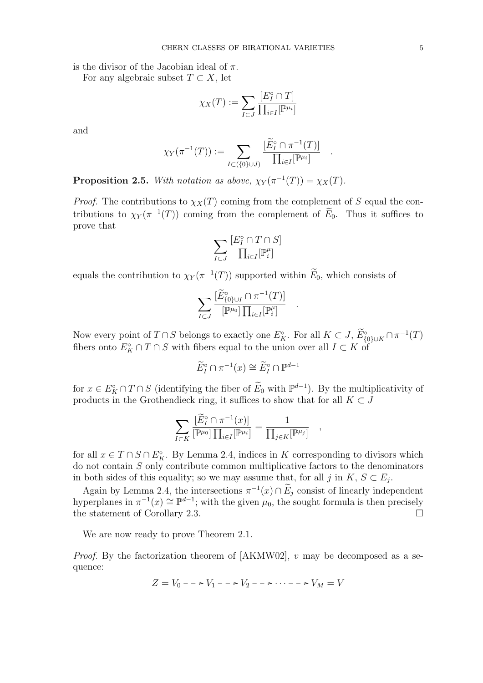is the divisor of the Jacobian ideal of  $\pi$ .

For any algebraic subset  $T \subset X$ , let

$$
\chi_X(T) := \sum_{I \subset J} \frac{[E_I^\circ \cap T]}{\prod_{i \in I} [\mathbb{P}^{\mu_i}]}
$$

and

$$
\chi_Y(\pi^{-1}(T)) := \sum_{I \subset (\{0\} \cup J)} \frac{[\widetilde{E}_I^\circ \cap \pi^{-1}(T)]}{\prod_{i \in I} [\mathbb{P}^{\mu_i}]}.
$$

.

**Proposition 2.5.** With notation as above,  $\chi_Y(\pi^{-1}(T)) = \chi_X(T)$ .

*Proof.* The contributions to  $\chi_X(T)$  coming from the complement of S equal the contributions to  $\chi_Y(\pi^{-1}(T))$  coming from the complement of  $\widetilde{E}_0$ . Thus it suffices to prove that

$$
\sum_{I\subset J}\frac{[E^\circ_I\cap T\cap S]}{\prod_{i\in I}[\mathbb{P}_i^\mu]}
$$

equals the contribution to  $\chi_Y(\pi^{-1}(T))$  supported within  $\widetilde{E}_0$ , which consists of

$$
\sum_{I\subset J}\frac{[\widetilde{E}^{\circ}_{\{0\}\cup I}\cap\pi^{-1}(T)]}{[\mathbb{P}^{\mu_0}]\prod_{i\in I}[\mathbb{P}_i^{\mu}]}
$$

.

,

Now every point of  $T \cap S$  belongs to exactly one  $E_K^{\circ}$ . For all  $K \subset J$ ,  $\widetilde{E}_{\{0\}\cup K}^{\circ} \cap \pi^{-1}(T)$ fibers onto  $E_K^{\circ} \cap T \cap S$  with fibers equal to the union over all  $I \subset K$  of

$$
\widetilde{E}_I^{\circ} \cap \pi^{-1}(x) \cong \widetilde{E}_I^{\circ} \cap \mathbb{P}^{d-1}
$$

for  $x \in E_K^{\circ} \cap T \cap S$  (identifying the fiber of  $\widetilde{E}_0$  with  $\mathbb{P}^{d-1}$ ). By the multiplicativity of products in the Grothendieck ring, it suffices to show that for all  $K \subset J$ 

$$
\sum_{I\subset K}\frac{[\widetilde{E}^{\circ}_I\cap\pi^{-1}(x)]}{[\mathbb{P}^{\mu_0}]\prod_{i\in I}[\mathbb{P}^{\mu_i}]}=\frac{1}{\prod_{j\in K}[\mathbb{P}^{\mu_j}]}
$$

for all  $x \in T \cap S \cap E_K^{\circ}$ . By Lemma 2.4, indices in K corresponding to divisors which do not contain S only contribute common multiplicative factors to the denominators in both sides of this equality; so we may assume that, for all j in  $K, S \subset E_j$ .

Again by Lemma 2.4, the intersections  $\pi^{-1}(x) \cap \widetilde{E}_j$  consist of linearly independent hyperplanes in  $\pi^{-1}(x) \cong \mathbb{P}^{d-1}$ ; with the given  $\mu_0$ , the sought formula is then precisely the statement of Corollary 2.3.

We are now ready to prove Theorem 2.1.

*Proof.* By the factorization theorem of  $[AKMW02]$ , v may be decomposed as a sequence:

$$
Z = V_0 - \cdots - V_1 - \cdots - V_2 - \cdots - \cdots - V_M = V
$$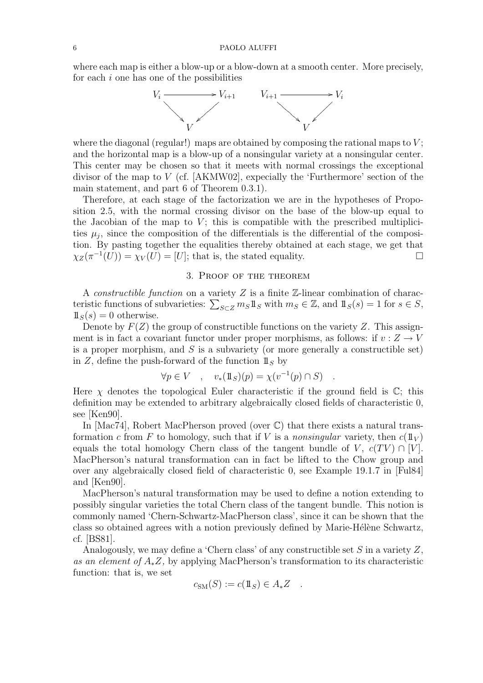where each map is either a blow-up or a blow-down at a smooth center. More precisely, for each  $i$  one has one of the possibilities



where the diagonal (regular!) maps are obtained by composing the rational maps to  $V$ ; and the horizontal map is a blow-up of a nonsingular variety at a nonsingular center. This center may be chosen so that it meets with normal crossings the exceptional divisor of the map to V (cf. [AKMW02], expecially the 'Furthermore' section of the main statement, and part 6 of Theorem 0.3.1).

Therefore, at each stage of the factorization we are in the hypotheses of Proposition 2.5, with the normal crossing divisor on the base of the blow-up equal to the Jacobian of the map to  $V$ ; this is compatible with the prescribed multiplicities  $\mu_j$ , since the composition of the differentials is the differential of the composition. By pasting together the equalities thereby obtained at each stage, we get that  $\chi_Z(\pi^{-1}(U)) = \chi_V(U) = [U];$  that is, the stated equality.

# 3. Proof of the theorem

A *constructible function* on a variety  $Z$  is a finite  $Z$ -linear combination of characteristic functions of subvarieties:  $\sum_{S \subset Z} m_S \mathbb{1}_S$  with  $m_S \in \mathbb{Z}$ , and  $\mathbb{1}_S(s) = 1$  for  $s \in S$ ,  $\mathbb{1}_{S}(s) = 0$  otherwise.

Denote by  $F(Z)$  the group of constructible functions on the variety Z. This assignment is in fact a covariant functor under proper morphisms, as follows: if  $v : Z \to V$ is a proper morphism, and  $S$  is a subvariety (or more generally a constructible set) in Z, define the push-forward of the function  $\mathbb{1}_S$  by

$$
\forall p \in V \quad , \quad v_*(1\!\!1_S)(p) = \chi(v^{-1}(p) \cap S) \quad .
$$

Here  $\chi$  denotes the topological Euler characteristic if the ground field is  $\mathbb{C}$ ; this definition may be extended to arbitrary algebraically closed fields of characteristic 0, see [Ken90].

In  $[\text{Mac74}]$ , Robert MacPherson proved (over  $\mathbb{C}$ ) that there exists a natural transformation c from F to homology, such that if V is a nonsingular variety, then  $c(\mathbb{1}_V)$ equals the total homology Chern class of the tangent bundle of V,  $c(TV) \cap [V]$ . MacPherson's natural transformation can in fact be lifted to the Chow group and over any algebraically closed field of characteristic 0, see Example 19.1.7 in [Ful84] and [Ken90].

MacPherson's natural transformation may be used to define a notion extending to possibly singular varieties the total Chern class of the tangent bundle. This notion is commonly named 'Chern-Schwartz-MacPherson class', since it can be shown that the class so obtained agrees with a notion previously defined by Marie-Hélène Schwartz, cf. [BS81].

Analogously, we may define a 'Chern class' of any constructible set  $S$  in a variety  $Z$ , as an element of A∗Z, by applying MacPherson's transformation to its characteristic function: that is, we set

$$
c_{\rm SM}(S) := c(\mathbb{1}_S) \in A_* Z \quad .
$$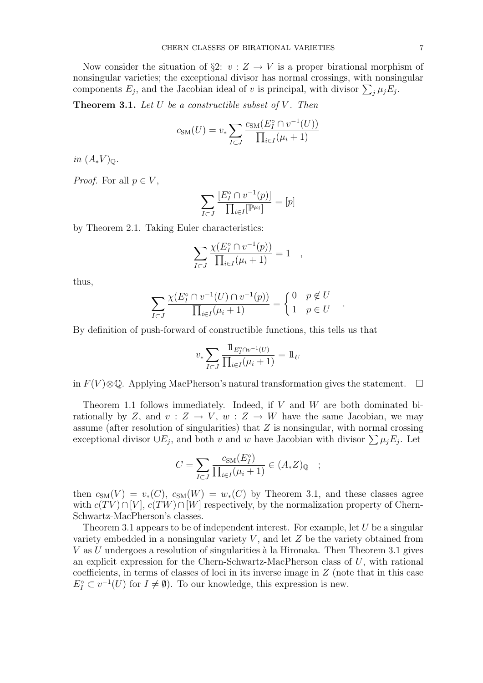Now consider the situation of §2:  $v : Z \to V$  is a proper birational morphism of nonsingular varieties; the exceptional divisor has normal crossings, with nonsingular components  $E_j$ , and the Jacobian ideal of v is principal, with divisor  $\sum_j \mu_j E_j$ .

**Theorem 3.1.** Let  $U$  be a constructible subset of  $V$ . Then

$$
c_{\rm SM}(U) = v_* \sum_{I \subset J} \frac{c_{\rm SM}(E_I^{\circ} \cap v^{-1}(U))}{\prod_{i \in I} (\mu_i + 1)}
$$

in  $(A_*V)_{\mathbb{Q}}$ .

*Proof.* For all  $p \in V$ ,

$$
\sum_{I \subset J} \frac{[E_I^\circ \cap v^{-1}(p)]}{\prod_{i \in I} [\mathbb{P}^{\mu_i}]} = [p]
$$

by Theorem 2.1. Taking Euler characteristics:

$$
\sum_{I \subset J} \frac{\chi(E_I^{\circ} \cap v^{-1}(p))}{\prod_{i \in I} (\mu_i + 1)} = 1 \quad ,
$$

thus,

$$
\sum_{I \subset J} \frac{\chi(E_I^{\circ} \cap v^{-1}(U) \cap v^{-1}(p))}{\prod_{i \in I}(\mu_i + 1)} = \begin{cases} 0 & p \notin U \\ 1 & p \in U \end{cases}.
$$

By definition of push-forward of constructible functions, this tells us that

$$
v_* \sum_{I \subset J} \frac{1\!\!1_{E_I^o \cap v^{-1}(U)}}{\prod_{i \in I} (\mu_i + 1)} = 1\!\!1_U
$$

in  $F(V) \otimes \mathbb{Q}$ . Applying MacPherson's natural transformation gives the statement.  $□$ 

Theorem 1.1 follows immediately. Indeed, if  $V$  and  $W$  are both dominated birationally by Z, and  $v: Z \to V$ ,  $w: Z \to W$  have the same Jacobian, we may assume (after resolution of singularities) that Z is nonsingular, with normal crossing exceptional divisor  $\cup E_j$ , and both v and w have Jacobian with divisor  $\sum \mu_j E_j$ . Let

$$
C = \sum_{I \subset J} \frac{c_{\text{SM}}(E_I^{\circ})}{\prod_{i \in I} (\mu_i + 1)} \in (A_* Z)_{\mathbb{Q}} \quad ;
$$

then  $c_{SM}(V) = v_*(C)$ ,  $c_{SM}(W) = w_*(C)$  by Theorem 3.1, and these classes agree with  $c(TV) \cap [V]$ ,  $c(TW) \cap [W]$  respectively, by the normalization property of Chern-Schwartz-MacPherson's classes.

Theorem 3.1 appears to be of independent interest. For example, let  $U$  be a singular variety embedded in a nonsingular variety  $V$ , and let  $Z$  be the variety obtained from  $V$  as  $U$  undergoes a resolution of singularities à la Hironaka. Then Theorem 3.1 gives an explicit expression for the Chern-Schwartz-MacPherson class of  $U$ , with rational coefficients, in terms of classes of loci in its inverse image in Z (note that in this case  $E_I^{\circ} \subset v^{-1}(U)$  for  $I \neq \emptyset$ ). To our knowledge, this expression is new.